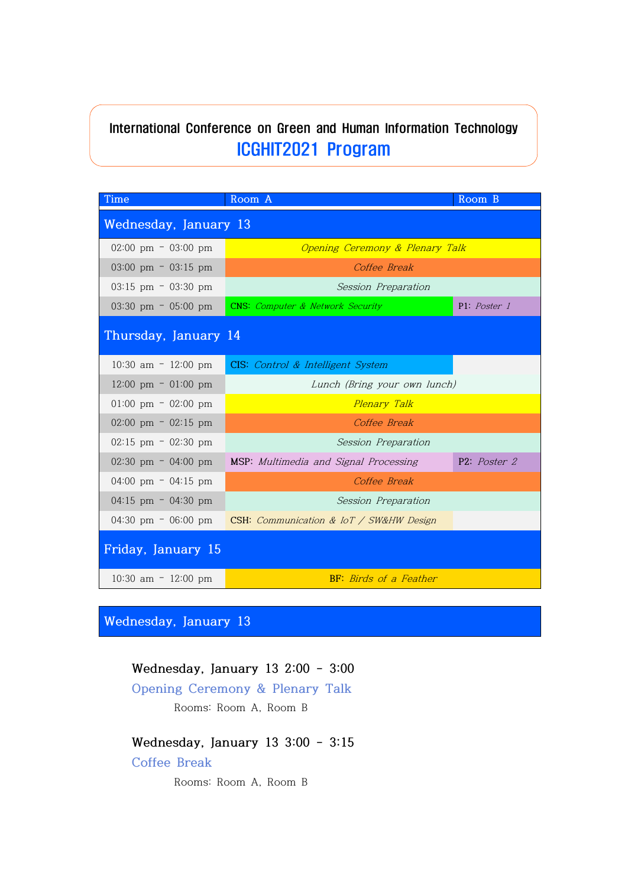# International Conference on Green and Human Information Technology ICGHIT2021 Program

| Time                                  | Room A                                          | Room B       |
|---------------------------------------|-------------------------------------------------|--------------|
| Wednesday, January 13                 |                                                 |              |
| $02:00 \text{ pm} = 03:00 \text{ pm}$ | Opening Ceremony & Plenary Talk                 |              |
| 03:00 pm $-$ 03:15 pm                 | Coffee Break                                    |              |
| $03:15$ pm = $03:30$ pm               | Session Preparation                             |              |
| $03:30 \text{ pm} = 05:00 \text{ pm}$ | <b>CNS:</b> Computer & Network Security         | P1: Poster 1 |
| Thursday, January 14                  |                                                 |              |
| $10:30$ am $-12:00$ pm                | CIS: Control & Intelligent System               |              |
| $12:00 \text{ pm} = 01:00 \text{ pm}$ | Lunch (Bring your own lunch)                    |              |
| $01:00 \text{ pm} = 02:00 \text{ pm}$ | Plenary Talk                                    |              |
| $02:00 \text{ pm} = 02:15 \text{ pm}$ | Coffee Break                                    |              |
| $02:15$ pm $-02:30$ pm                | Session Preparation                             |              |
| $02:30 \text{ pm} = 04:00 \text{ pm}$ | MSP: Multimedia and Signal Processing           | P2: Poster 2 |
| 04:00 pm = $04:15$ pm                 | Coffee Break                                    |              |
| 04:15 pm $-$ 04:30 pm                 | Session Preparation                             |              |
| 04:30 pm $-$ 06:00 pm                 | CSH: Communication & $I \circ T$ / SW&HW Design |              |
| Friday, January 15                    |                                                 |              |
| 10:30 am $-$ 12:00 pm                 | <b>BF:</b> Birds of a Feather                   |              |

**Wednesday, January 13**

## **Wednesday, January 13 2:00 - 3:00**

**Opening Ceremony & Plenary Talk**

Rooms: Room A, Room B

# **Wednesday, January 13 3:00 - 3:15**

**Coffee Break**

Rooms: Room A, Room B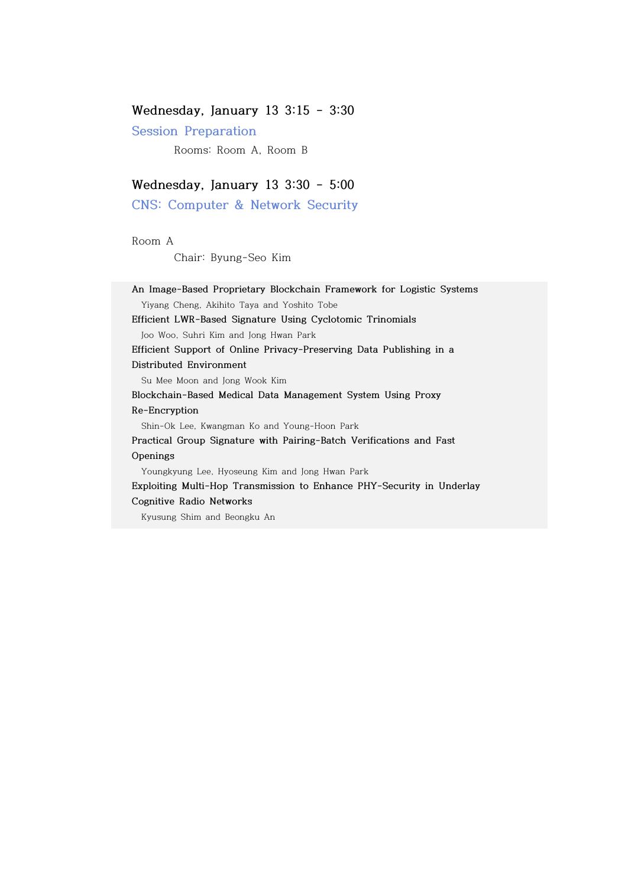## **Wednesday, January 13 3:15 - 3:30**

**Session Preparation**

Rooms: Room A, Room B

## **Wednesday, January 13 3:30 - 5:00**

**CNS: Computer & Network Security**

Room A

Chair: Byung-Seo Kim

**An Image-Based Proprietary Blockchain Framework for Logistic Systems**  Yiyang Cheng, Akihito Taya and Yoshito Tobe **Efficient LWR-Based Signature Using Cyclotomic Trinomials**  Joo Woo, Suhri Kim and Jong Hwan Park **Efficient Support of Online Privacy-Preserving Data Publishing in a Distributed Environment** Su Mee Moon and Jong Wook Kim **Blockchain-Based Medical Data Management System Using Proxy Re-Encryption**  Shin-Ok Lee, Kwangman Ko and Young-Hoon Park **Practical Group Signature with Pairing-Batch Verifications and Fast Openings**  Youngkyung Lee, Hyoseung Kim and Jong Hwan Park **Exploiting Multi-Hop Transmission to Enhance PHY-Security in Underlay Cognitive Radio Networks**  Kyusung Shim and Beongku An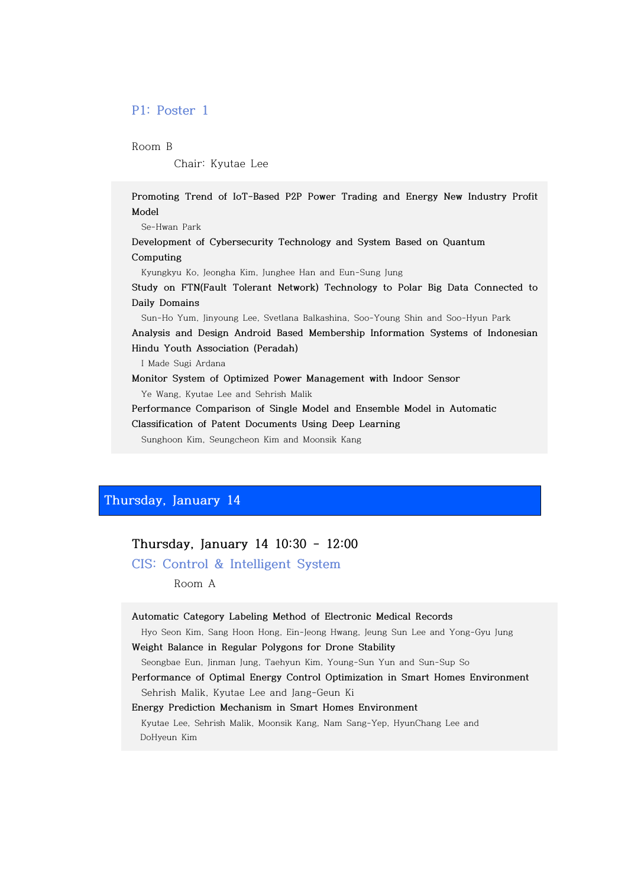## **P1: Poster 1**

Room B

Chair: Kyutae Lee

**Promoting Trend of IoT-Based P2P Power Trading and Energy New Industry Profit Model**

 Se-Hwan Park **Development of Cybersecurity Technology and System Based on Quantum Computing**  Kyungkyu Ko, Jeongha Kim, Junghee Han and Eun-Sung Jung **Study on FTN(Fault Tolerant Network) Technology to Polar Big Data Connected to Daily Domains** Sun-Ho Yum, Jinyoung Lee, Svetlana Balkashina, Soo-Young Shin and Soo-Hyun Park **Analysis and Design Android Based Membership Information Systems of Indonesian Hindu Youth Association (Peradah)** I Made Sugi Ardana **Monitor System of Optimized Power Management with Indoor Sensor**

Ye Wang, Kyutae Lee and Sehrish Malik

**Performance Comparison of Single Model and Ensemble Model in Automatic Classification of Patent Documents Using Deep Learning**

Sunghoon Kim, Seungcheon Kim and Moonsik Kang

## **Thursday, January 14**

| Thursday, January 14 10:30 - 12:00 |  |  |  |  |
|------------------------------------|--|--|--|--|
|------------------------------------|--|--|--|--|

**CIS: Control & Intelligent System**

Room A

| Automatic Category Labeling Method of Electronic Medical Records |  |
|------------------------------------------------------------------|--|
|------------------------------------------------------------------|--|

Hyo Seon Kim, Sang Hoon Hong, Ein-Jeong Hwang, Jeung Sun Lee and Yong-Gyu Jung

**Weight Balance in Regular Polygons for Drone Stability** 

Seongbae Eun, Jinman Jung, Taehyun Kim, Young-Sun Yun and Sun-Sup So

**Performance of Optimal Energy Control Optimization in Smart Homes Environment** Sehrish Malik, Kyutae Lee and Jang-Geun Ki

#### **Energy Prediction Mechanism in Smart Homes Environment**

 Kyutae Lee, Sehrish Malik, Moonsik Kang, Nam Sang-Yep, HyunChang Lee and DoHyeun Kim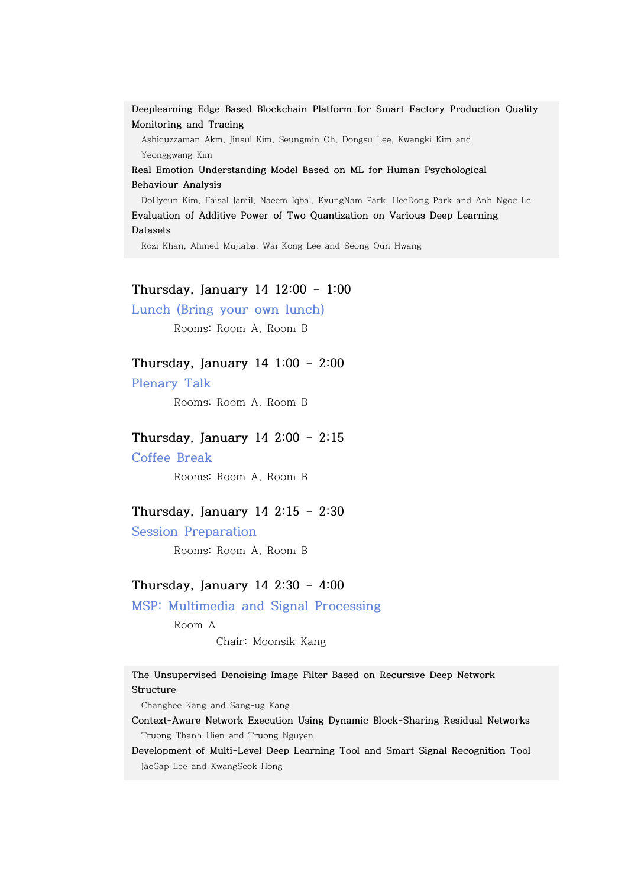**Deeplearning Edge Based Blockchain Platform for Smart Factory Production Quality Monitoring and Tracing** 

 Ashiquzzaman Akm, Jinsul Kim, Seungmin Oh, Dongsu Lee, Kwangki Kim and Yeonggwang Kim

**Real Emotion Understanding Model Based on ML for Human Psychological Behaviour Analysis** 

 DoHyeun Kim, Faisal Jamil, Naeem Iqbal, KyungNam Park, HeeDong Park and Anh Ngoc Le **Evaluation of Additive Power of Two Quantization on Various Deep Learning Datasets** 

Rozi Khan, Ahmed Mujtaba, Wai Kong Lee and Seong Oun Hwang

## **Thursday, January 14 12:00 - 1:00**

**Lunch (Bring your own lunch)**

Rooms: Room A, Room B

### **Thursday, January 14 1:00 - 2:00**

**Plenary Talk**

Rooms: Room A, Room B

### **Thursday, January 14 2:00 - 2:15**

**Coffee Break**

Rooms: Room A, Room B

## **Thursday, January 14 2:15 - 2:30**

**Session Preparation**

Rooms: Room A, Room B

### **Thursday, January 14 2:30 - 4:00**

## **MSP: Multimedia and Signal Processing**

Room A

Chair: Moonsik Kang

**The Unsupervised Denoising Image Filter Based on Recursive Deep Network Structure**

Changhee Kang and Sang-ug Kang

**Context-Aware Network Execution Using Dynamic Block-Sharing Residual Networks** Truong Thanh Hien and Truong Nguyen

**Development of Multi-Level Deep Learning Tool and Smart Signal Recognition Tool**  JaeGap Lee and KwangSeok Hong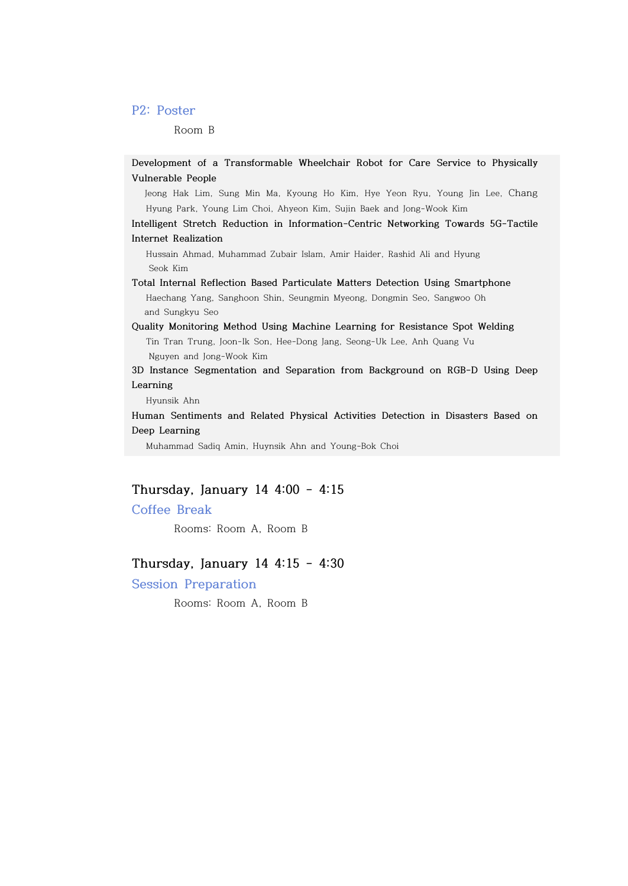## **P2: Poster**

Room B

**Development of a Transformable Wheelchair Robot for Care Service to Physically Vulnerable People**

 Jeong Hak Lim, Sung Min Ma, Kyoung Ho Kim, Hye Yeon Ryu, Young Jin Lee, Chang Hyung Park, Young Lim Choi, Ahyeon Kim, Sujin Baek and Jong-Wook Kim

**Intelligent Stretch Reduction in Information-Centric Networking Towards 5G-Tactile Internet Realization**

 Hussain Ahmad, Muhammad Zubair Islam, Amir Haider, Rashid Ali and Hyung Seok Kim

**Total Internal Reflection Based Particulate Matters Detection Using Smartphone**  Haechang Yang, Sanghoon Shin, Seungmin Myeong, Dongmin Seo, Sangwoo Oh and Sungkyu Seo

## **Quality Monitoring Method Using Machine Learning for Resistance Spot Welding** Tin Tran Trung, Joon-Ik Son, Hee-Dong Jang, Seong-Uk Lee, Anh Quang Vu Nguyen and Jong-Wook Kim

**3D Instance Segmentation and Separation from Background on RGB-D Using Deep Learning** 

Hyunsik Ahn

**Human Sentiments and Related Physical Activities Detection in Disasters Based on Deep Learning**

Muhammad Sadiq Amin, Huynsik Ahn and Young-Bok Choi

## **Thursday, January 14 4:00 - 4:15**

## **Coffee Break**

Rooms: Room A, Room B

## **Thursday, January 14 4:15 - 4:30**

**Session Preparation**

Rooms: Room A, Room B